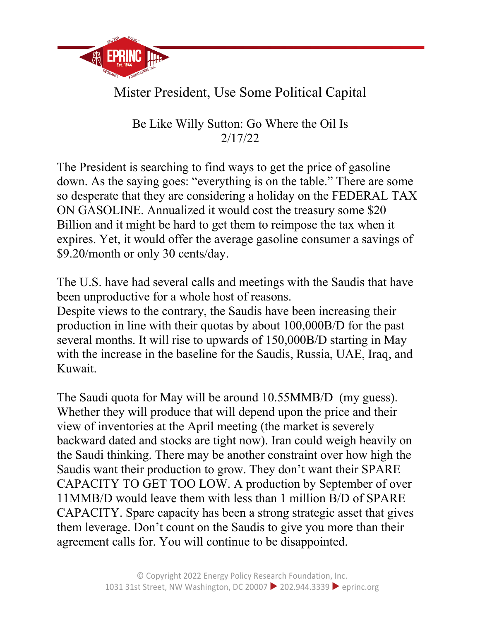

## Mister President, Use Some Political Capital

Be Like Willy Sutton: Go Where the Oil Is 2/17/22

The President is searching to find ways to get the price of gasoline down. As the saying goes: "everything is on the table." There are some so desperate that they are considering a holiday on the FEDERAL TAX ON GASOLINE. Annualized it would cost the treasury some \$20 Billion and it might be hard to get them to reimpose the tax when it expires. Yet, it would offer the average gasoline consumer a savings of \$9.20/month or only 30 cents/day.

The U.S. have had several calls and meetings with the Saudis that have been unproductive for a whole host of reasons.

Despite views to the contrary, the Saudis have been increasing their production in line with their quotas by about 100,000B/D for the past several months. It will rise to upwards of 150,000B/D starting in May with the increase in the baseline for the Saudis, Russia, UAE, Iraq, and Kuwait.

The Saudi quota for May will be around 10.55MMB/D (my guess). Whether they will produce that will depend upon the price and their view of inventories at the April meeting (the market is severely backward dated and stocks are tight now). Iran could weigh heavily on the Saudi thinking. There may be another constraint over how high the Saudis want their production to grow. They don't want their SPARE CAPACITY TO GET TOO LOW. A production by September of over 11MMB/D would leave them with less than 1 million B/D of SPARE CAPACITY. Spare capacity has been a strong strategic asset that gives them leverage. Don't count on the Saudis to give you more than their agreement calls for. You will continue to be disappointed.